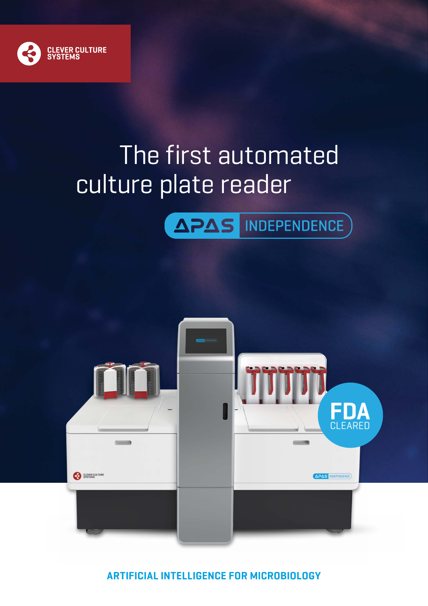

# The first automated culture plate reader





**ARTIFICIAL INTELLIGENCE FOR MICROBIOLOGY**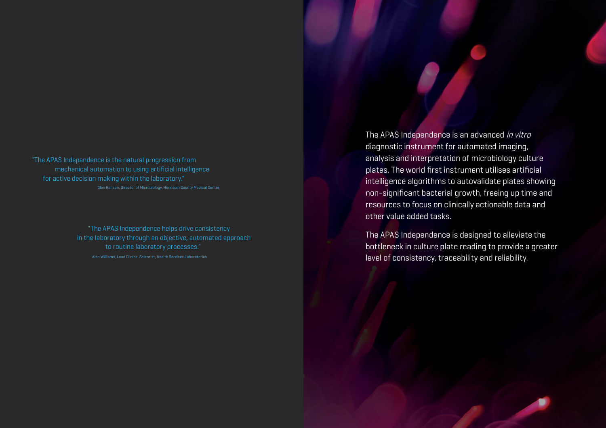The APAS Independence is an advanced in vitro diagnostic instrument for automated imaging, analysis and interpretation of microbiology culture plates. The world first instrument utilises artificial intelligence algorithms to autovalidate plates showing non-significant bacterial growth, freeing up time and resources to focus on clinically actionable data and other value added tasks.

The APAS Independence is designed to alleviate the bottleneck in culture plate reading to provide a greater level of consistency, traceability and reliability.

"The APAS Independence is the natural progression from for active decision making within the laboratory." Glen Hansen, Director of Microbiology, Hennepin County Medical Center mechanical automation to using artificial intelligence

> "The APAS Independence helps drive consistency Alan Williams, Lead Clinical Scientist, Health Services Laboratories in the laboratory through an objective, automated approach to routine laboratory processes."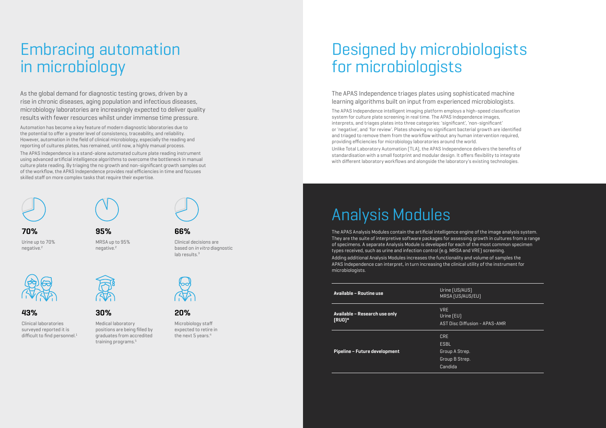**95%**

Clinical decisions are based on in vitro diagnostic lab results.<sup>3</sup>



Urine up to 70% **70% 66%**

negative.<sup>2</sup>



The APAS Independence triages plates using sophisticated machine learning algorithms built on input from experienced microbiologists.

The APAS Independence intelligent imaging platform employs a high-speed classification system for culture plate screening in real time. The APAS Independence images, interprets, and triages plates into three categories: 'significant', 'non-significant' or 'negative', and 'for review'. Plates showing no significant bacterial growth are identified and triaged to remove them from the workflow without any human intervention required, providing efficiencies for microbiology laboratories around the world.

Unlike Total Laboratory Automation (TLA), the APAS Independence delivers the benefits of standardisation with a small footprint and modular design. It offers flexibility to integrate with different laboratory workflows and alongside the laboratory's existing technologies.

# Designed by microbiologists for microbiologists

# Embracing automation in microbiology

As the global demand for diagnostic testing grows, driven by a rise in chronic diseases, aging population and infectious diseases, microbiology laboratories are increasingly expected to deliver quality results with fewer resources whilst under immense time pressure.

Clinical laboratories surveyed reported it is difficult to find personnel. $1$ 



MRSA up to 95% negative.<sup>2</sup>

> Microbiology staff expected to retire in the next 5 years.<sup>4</sup>

Automation has become a key feature of modern diagnostic laboratories due to the potential to offer a greater level of consistency, traceability, and reliability. However, automation in the field of clinical microbiology, especially the reading and reporting of cultures plates, has remained, until now, a highly manual process.

The APAS Independence is a stand-alone automated culture plate reading instrument using advanced artificial intelligence algorithms to overcome the bottleneck in manual culture plate reading. By triaging the no growth and non-significant growth samples out of the workflow, the APAS Independence provides real efficiencies in time and focuses skilled staff on more complex tasks that require their expertise.



# Analysis Modules

The APAS Analysis Modules contain the artificial intelligence engine of the image analysis system. They are the suite of interpretive software packages for assessing growth in cultures from a range of specimens. A separate Analysis Module is developed for each of the most common specimen types received, such as urine and infection control (e.g. MRSA and VRE) screening. Adding additional Analysis Modules increases the functionality and volume of samples the APAS Independence can interpret, in turn increasing the clinical utility of the instrument for microbiologists.

| <b>Available - Routine use</b>            | Urine (US/AUS)<br>MRSA [US/AUS]                      |
|-------------------------------------------|------------------------------------------------------|
| Available – Research use only<br>$[RU0]*$ | <b>VRE</b><br>Urine $[EU]$<br><b>AST Disc Diffus</b> |
| Pipeline – Future development             | CRF<br>ESBL<br>Group A Strep.<br>Group B Strep.      |
|                                           | Candida                                              |

- 
- 
- 
- 
- 

S/AUS/EU)

Diffusion - APAS-AMR

**43% 30% 20%**

Medical laboratory positions are being filled by graduates from accredited training programs.5

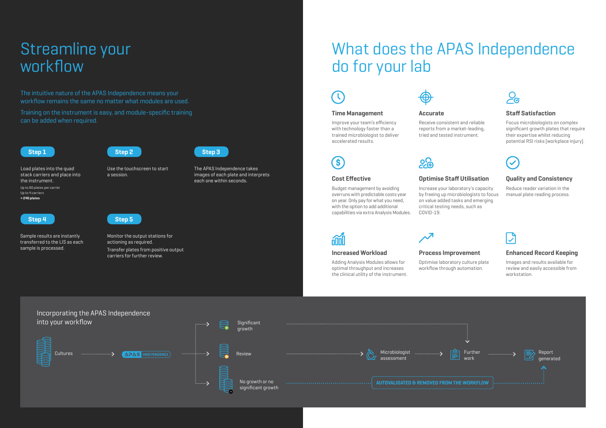# Streamline your workflow

## **Optimise Staff Utilisation**

Increase your laboratory's capacity by freeing up microbiologists to focus on value added tasks and emerging



# critical testing needs, such as COVID-19.

# nin



 $\mathbf{s}$ 

### **Cost Effective**

Budget management by avoiding overruns with predictable costs year on year. Only pay for what you need, with the option to add additional capabilities via extra Analysis Modules.

### **Time Management**

Improve your team's efficiency with technology faster than a trained microbiologist to deliver accelerated results.



## **Quality and Consistency**

Reduce reader variation in the manual plate reading process.

### **Staff Satisfaction**

Focus microbiologists on complex significant growth plates that require their expertise whilst reducing potential RSI risks (workplace injury).



## **Process Improvement**

Optimise laboratory culture plate



workflow through automation.

 $\boldsymbol{\lambda}$ 

### **Enhanced Record Keeping**

Images and results available for review and easily accessible from workstation.

### **Increased Workload**

Adding Analysis Modules allows for optimal throughput and increases the clinical utility of the instrument.







Use the touchscreen to start a session.

Load plates into the quad stack carriers and place into the instrument. Up to 60 plates per carrier Up to 4 carriers **= 240 plates**



Sample results are instantly transferred to the LIS as each sample is processed.

Monitor the output stations for actioning as required. Transfer plates from positive output carriers for further review.

The APAS Independence takes images of each plate and interprets each one within seconds.



The intuitive nature of the APAS Independence means your workflow remains the same no matter what modules are used.

Training on the instrument is easy, and module-specific training can be added when required.





# What does the APAS Independence do for your lab

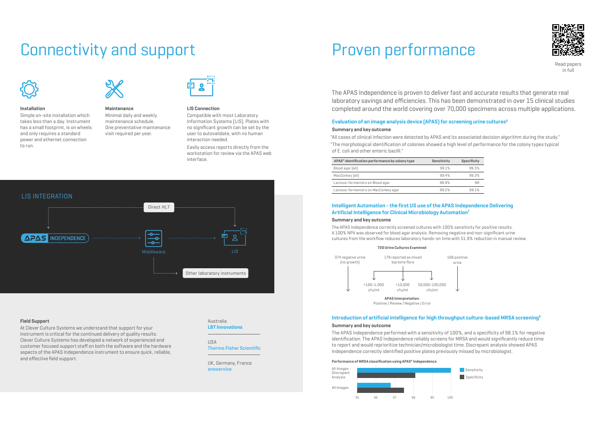# Connectivity and support



### **Installation**

Simple on-site installation which takes less than a day. Instrument has a small footprint, is on wheels and only requires a standard power and ethernet connection to run.

### **Field Support**

At Clever Culture Systems we understand that support for your instrument is critical for the continued delivery of quality results. Clever Culture Systems has developed a network of experienced and customer focused support staff on both the software and the hardware aspects of the APAS Independence instrument to ensure quick, reliable, and effective field support.

Australia **LBT Innovations**

USA **Thermo Fisher Scientific**

UK, Germany, France **oneservice**

#### **LIS Connection**

Compatible with most Laboratory Information Systems (LIS). Plates with no significant growth can be set by the user to autovalidate, with no human interaction needed.

Easily access reports directly from the workstation for review via the APAS web interface.



**Maintenance** 

Minimal daily and weekly maintenance schedule. One preventative maintenance visit required per year.



The APAS Independence is proven to deliver fast and accurate results that generate real laboratory savings and efficiencies. This has been demonstrated in over 15 clinical studies completed around the world covering over 70,000 specimens across multiple applications.

# Proven performance



Read papers in full

### **Evaluation of an image analysis device (APAS) for screening urine cultures6**

#### **Summary and key outcome**

"All cases of clinical infection were detected by APAS and its associated decision algorithm during the study." "The morphological identification of colonies showed a high level of performance for the colony types typical of E. coli and other enteric bacilli."

| APAS <sup>®</sup> identification performance by colony type | Sensitivity | <b>Specificity</b> |
|-------------------------------------------------------------|-------------|--------------------|
| Blood agar (all)                                            | 99.1%       | 99.3%              |
| MacConkey [all]                                             | 99.4%       | 99.3%              |
| Lactose-fermenters on Blood agar                            | 98.9%       | <b>NR</b>          |
| Lactose-fermenters on MacConkey agar                        | 99.2%       | 98.1%              |

### **Introduction of artificial intelligence for high throughput culture-based MRSA screening8**

#### **Summary and key outcome**

The APAS Independence performed with a sensitivity of 100%, and a specificity of 98.1% for negative identification. The APAS Independence reliably screens for MRSA and would significantly reduce time to report and would reprioritize technician/microbiologist time. Discrepant analysis showed APAS Independence correctly identified positive plates previously missed by microbiologist.

#### **Performance of MRSA classification using APAS® Independence**









## **Intelligent Automation - the first US use of the APAS Independence Delivering Artificial Intelligence for Clinical Microbiology Automation7**

### **Summary and key outcome**

The APAS Independence correctly screened cultures with 100% sensitivity for positive results. A 100% NPV was observed for blood agar analysis. Removing negative and non-significant urine cultures from the workflow reduces laboratory hands-on time with 51.9% reduction in manual review.

#### **720 Urine Cultures Examined**



Positive / Review / Negative / Error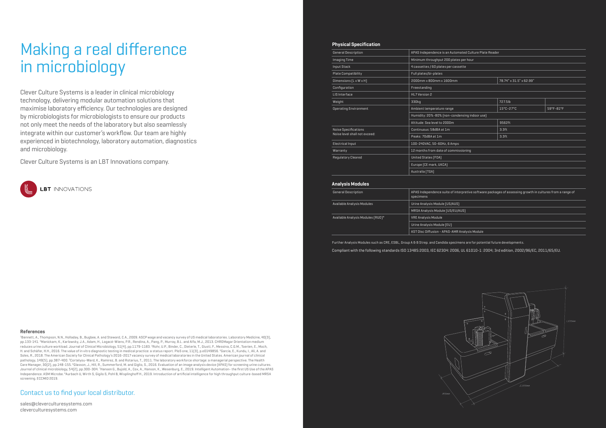Clever Culture Systems is a leader in clinical microbiology technology, delivering modular automation solutions that maximise laboratory efficiency. Our technologies are designed by microbiologists for microbiologists to ensure our products not only meet the needs of the laboratory but also seamlessly integrate within our customer's workflow. Our team are highly experienced in biotechnology, laboratory automation, diagnostics and microbiology.

Clever Culture Systems is an LBT Innovations company.



| APAS Independence is an Automated Culture Plate Reader                                                                 |                         |           |  |
|------------------------------------------------------------------------------------------------------------------------|-------------------------|-----------|--|
| Minimum throughput 200 plates per hour                                                                                 |                         |           |  |
| 4 cassettes / 60 plates per cassette                                                                                   |                         |           |  |
| Full plates/bi-plates                                                                                                  |                         |           |  |
| 2000mm x 800mm x 1600mm                                                                                                | 78.74" x 31.5" x 62.99" |           |  |
| Freestanding                                                                                                           |                         |           |  |
| HL7 Version 2                                                                                                          |                         |           |  |
| 330kg                                                                                                                  | 727.5lb                 |           |  |
| Ambient temperature range                                                                                              | 15°C-27°C               | 59°F-81°F |  |
| Humidity: 20%-80% [non-condensing indoor use]                                                                          |                         |           |  |
| Altitude: Sea level to 2000m                                                                                           | 9562ft                  |           |  |
| Continuous: 58dBA at 1m                                                                                                | 3.3 <sub>ft</sub>       |           |  |
| Peaks: 70dBA at 1m                                                                                                     | 3.3 <sub>ft</sub>       |           |  |
| 100-240VAC, 50~60Hz, 6 Amps                                                                                            |                         |           |  |
| 12 months from date of commissioning                                                                                   |                         |           |  |
| United States [FDA]                                                                                                    |                         |           |  |
| Europe (CE mark, UKCA)                                                                                                 |                         |           |  |
| Australia (TGA)                                                                                                        |                         |           |  |
|                                                                                                                        |                         |           |  |
| APAS Independence suite of interpretive software packages of assessing growth in cultures from a range of<br>specimens |                         |           |  |

nalysis Module



### **Physical Specification**

| General Description                                          | APAS Independence is an Automated Culture Plate Reader |                   |           |
|--------------------------------------------------------------|--------------------------------------------------------|-------------------|-----------|
| <b>Imaging Time</b>                                          | Minimum throughput 200 plates per hour                 |                   |           |
| Input Stack                                                  | 4 cassettes / 60 plates per cassette                   |                   |           |
| Plate Compatibility                                          | Full plates/bi-plates                                  |                   |           |
| Dimensions $[L \times W \times H]$                           | 2000mm x 800mm x 1600mm<br>78.74" x 31.5" x 62.99"     |                   |           |
| Configuration                                                | Freestanding                                           |                   |           |
| LIS Interface                                                | HL7 Version 2                                          |                   |           |
| Weight                                                       | 330kg                                                  | 727.5lb           |           |
| <b>Operating Environment</b>                                 | Ambient temperature range                              | 15°C-27°C         | 59°F-81°F |
|                                                              | Humidity: 20%-80% [non-condensing indoor use]          |                   |           |
|                                                              | Altitude: Sea level to 2000m                           | 9562ft            |           |
| <b>Noise Specifications</b><br>Noise level shall not exceed: | Continuous: 58dBA at 1m                                | 3.3 <sub>ft</sub> |           |
|                                                              | Peaks: 70dBA at 1m                                     | 3.3 <sub>ft</sub> |           |
| Electrical Input                                             | 100-240VAC, 50~60Hz, 6 Amps                            |                   |           |
| Warranty                                                     | 12 months from date of commissioning                   |                   |           |
| Requlatory Cleared                                           | United States [FDA]                                    |                   |           |
|                                                              | Europe [CE mark, UKCA]                                 |                   |           |
|                                                              | Australia [TGA]                                        |                   |           |
|                                                              |                                                        |                   |           |

### **Analysis Modules**

| <b>General Description</b>        | APAS Independence suite of interpretive software packages of assessing growth in cultures from a range of<br>specimens |
|-----------------------------------|------------------------------------------------------------------------------------------------------------------------|
| Available Analysis Modules        | Urine Analysis Module (US/AUS)                                                                                         |
|                                   | MRSA Analysis Module [US/EU/AUS]                                                                                       |
| Available Analysis Modules (RUO)* | <b>VRE Analysis Module</b>                                                                                             |
|                                   | Urine Analysis Module (EU)                                                                                             |
|                                   | AST Disc Diffusion - APAS-AMR Analysis Module                                                                          |

Further Analysis Modules such as CRE, ESBL, Group A & B Strep. and Candida specimens are for potential future developments. Compliant with the following standards ISO 13485:2003, IEC 62304: 2006, UL 61010-1: 2004; 3rd edition, 2002/96/EC, 2011/65/EU.

## Contact us to find your local distributor.

[sales@cleverculturesystems.com](mailto:sales%40cleverculturesystems.com?subject=) [cleverculturesystems.com](http://www.cleverculturesystems.com)

# Making a real difference in microbiology

### **References**

1Bennett, A., Thompson, N.N., Holladay, B., Bugbee, A. and Steward, C.A., 2009. ASCP wage and vacancy survey of US medical laboratories. Laboratory Medicine, 40(3), pp.133-141. <sup>2</sup>Manickam, K., Karlowsky, J.A., Adam, H., Lagacé-Wiens, P.R., Rendina, A., Pang, P., Murray, B.L. and Alfa, M.J., 2013. CHROMagar Orientation medium reduces urine culture workload. Journal of Clinical Microbiology, 51(4), pp.1179-1183. ªRohr, U.P., Binder, C., Dieterle, T., Giusti, F., Messina, C.G.M., Toerien, E., Moch, H. and Schäfer, H.H., 2016. The value of in vitro diagnostic testing in medical practice: a status report. PloS one, 11(3), p.e0149856. 4 Garcia, E., Kundu, I., Ali, A. and Soles, R., 2018. The American Society for Clinical Pathology's 2016-2017 vacancy survey of medical laboratories in the United States. American journal of clinical pathology, 149(5), pp.387-400. <sup>s</sup>Cortelyou-Ward, K., Ramirez, B. and Rotarius, T., 2011. The laboratory workforce shortage: a managerial perspective. The Health Care Manager, 30(2), pp.148-155. 6Glasson, J., Hill, R., Summerford, M. and Giglio, S., 2016. Evaluation of an image analysis device (APAS) for screening urine cultures. Journal of clinical microbiology, 54(2), pp.300-304. 7Hansen G., Bujold, A., Cox, A., Hanson, K., Wesenburg, E., 2019. Intelligent Automation- the first US Use of the APAS Independence. ASM Microbe. 8Aurbach U, Wirth S, Gigilo S, Pohl B, Wisplinghoff H., 2019. Introduction of artificial intelligence for high throughput culture-based MRSA screening. ECCMID 2019.